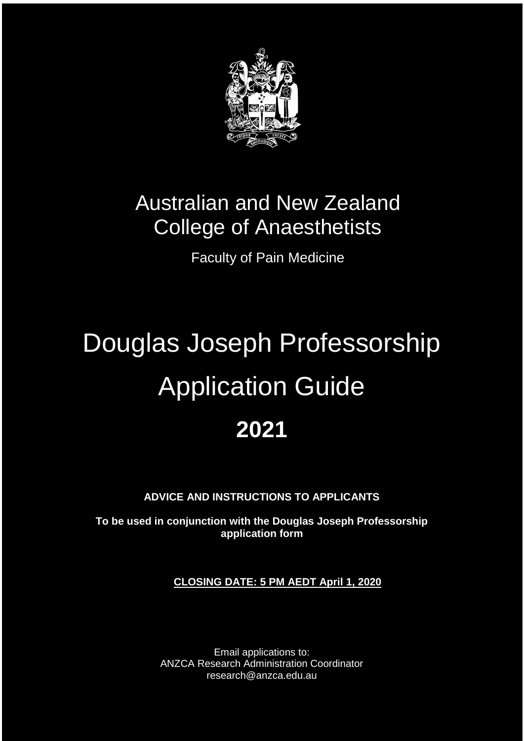

## Australian and New Zealand College of Anaesthetists

Faculty of Pain Medicine

# Douglas Joseph Professorship Application Guide **2021**

**ADVICE AND INSTRUCTIONS TO APPLICANTS**

**To be used in conjunction with the Douglas Joseph Professorship application form**

**CLOSING DATE: 5 PM AEDT April 1, 2020**

Email applications to: ANZCA Research Administration Coordinator research@anzca.edu.au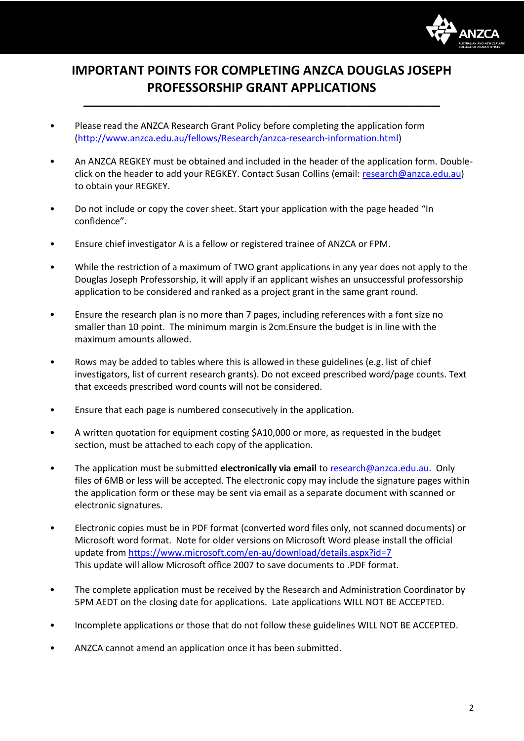

### **IMPORTANT POINTS FOR COMPLETING ANZCA DOUGLAS JOSEPH PROFESSORSHIP GRANT APPLICATIONS**

**\_\_\_\_\_\_\_\_\_\_\_\_\_\_\_\_\_\_\_\_\_\_\_\_\_\_\_\_\_\_\_\_\_\_\_\_\_\_\_\_\_\_\_\_\_\_\_\_\_\_\_\_\_\_\_\_\_\_\_\_\_\_\_\_\_\_\_\_\_\_\_\_\_\_**

- Please read the ANZCA Research Grant Policy before completing the application form [\(http://www.anzca.edu.au/fellows/Research/anzca-research-information.html\)](http://www.anzca.edu.au/fellows/Research/anzca-research-information.html)
- An ANZCA REGKEY must be obtained and included in the header of the application form. Doubleclick on the header to add your REGKEY. Contact Susan Collins (email: research@anzca.edu.au) to obtain your REGKEY.
- Do not include or copy the cover sheet. Start your application with the page headed "In confidence".
- Ensure chief investigator A is a fellow or registered trainee of ANZCA or FPM.
- While the restriction of a maximum of TWO grant applications in any year does not apply to the Douglas Joseph Professorship, it will apply if an applicant wishes an unsuccessful professorship application to be considered and ranked as a project grant in the same grant round.
- Ensure the research plan is no more than 7 pages, including references with a font size no smaller than 10 point. The minimum margin is 2cm.Ensure the budget is in line with the maximum amounts allowed.
- Rows may be added to tables where this is allowed in these guidelines (e.g. list of chief investigators, list of current research grants). Do not exceed prescribed word/page counts. Text that exceeds prescribed word counts will not be considered.
- Ensure that each page is numbered consecutively in the application.
- A written quotation for equipment costing \$A10,000 or more, as requested in the budget section, must be attached to each copy of the application.
- The application must be submitted **electronically via email** to [research@anzca.edu.au.](mailto:scollins@anzca.edu.au) Only files of 6MB or less will be accepted. The electronic copy may include the signature pages within the application form or these may be sent via email as a separate document with scanned or electronic signatures.
- Electronic copies must be in PDF format (converted word files only, not scanned documents) or Microsoft word format. Note for older versions on Microsoft Word please install the official update from<https://www.microsoft.com/en-au/download/details.aspx?id=7> This update will allow Microsoft office 2007 to save documents to .PDF format.
- The complete application must be received by the Research and Administration Coordinator by 5PM AEDT on the closing date for applications. Late applications WILL NOT BE ACCEPTED.
- Incomplete applications or those that do not follow these guidelines WILL NOT BE ACCEPTED.
- ANZCA cannot amend an application once it has been submitted.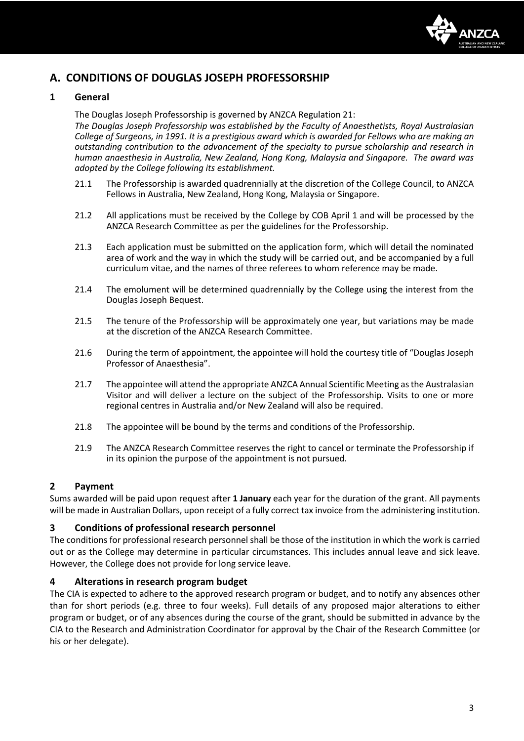

#### **A. CONDITIONS OF DOUGLAS JOSEPH PROFESSORSHIP**

#### **1 General**

The Douglas Joseph Professorship is governed by ANZCA Regulation 21:

*The Douglas Joseph Professorship was established by the Faculty of Anaesthetists, Royal Australasian College of Surgeons, in 1991. It is a prestigious award which is awarded for Fellows who are making an outstanding contribution to the advancement of the specialty to pursue scholarship and research in human anaesthesia in Australia, New Zealand, Hong Kong, Malaysia and Singapore. The award was adopted by the College following its establishment.*

- 21.1 The Professorship is awarded quadrennially at the discretion of the College Council, to ANZCA Fellows in Australia, New Zealand, Hong Kong, Malaysia or Singapore.
- 21.2 All applications must be received by the College by COB April 1 and will be processed by the ANZCA Research Committee as per the guidelines for the Professorship.
- 21.3 Each application must be submitted on the application form, which will detail the nominated area of work and the way in which the study will be carried out, and be accompanied by a full curriculum vitae, and the names of three referees to whom reference may be made.
- 21.4 The emolument will be determined quadrennially by the College using the interest from the Douglas Joseph Bequest.
- 21.5 The tenure of the Professorship will be approximately one year, but variations may be made at the discretion of the ANZCA Research Committee.
- 21.6 During the term of appointment, the appointee will hold the courtesy title of "Douglas Joseph Professor of Anaesthesia".
- 21.7 The appointee will attend the appropriate ANZCA Annual Scientific Meeting as the Australasian Visitor and will deliver a lecture on the subject of the Professorship. Visits to one or more regional centres in Australia and/or New Zealand will also be required.
- 21.8 The appointee will be bound by the terms and conditions of the Professorship.
- 21.9 The ANZCA Research Committee reserves the right to cancel or terminate the Professorship if in its opinion the purpose of the appointment is not pursued.

#### **2 Payment**

Sums awarded will be paid upon request after **1 January** each year for the duration of the grant. All payments will be made in Australian Dollars, upon receipt of a fully correct tax invoice from the administering institution.

#### **3 Conditions of professional research personnel**

The conditions for professional research personnel shall be those of the institution in which the work is carried out or as the College may determine in particular circumstances. This includes annual leave and sick leave. However, the College does not provide for long service leave.

#### **4 Alterations in research program budget**

The CIA is expected to adhere to the approved research program or budget, and to notify any absences other than for short periods (e.g. three to four weeks). Full details of any proposed major alterations to either program or budget, or of any absences during the course of the grant, should be submitted in advance by the CIA to the Research and Administration Coordinator for approval by the Chair of the Research Committee (or his or her delegate).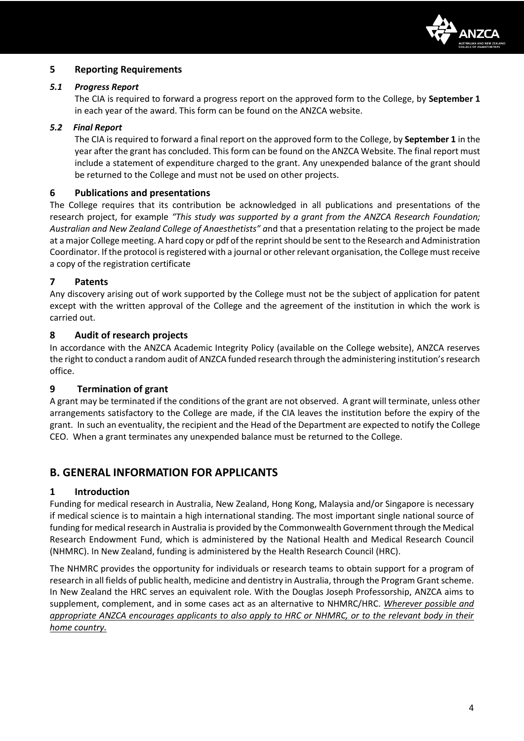

#### **5 Reporting Requirements**

#### *5.1 Progress Report*

The CIA is required to forward a progress report on the approved form to the College, by **September 1** in each year of the award. This form can be found on the ANZCA website.

#### *5.2 Final Report*

The CIA is required to forward a final report on the approved form to the College, by **September 1** in the year after the grant has concluded. This form can be found on the ANZCA Website. The final report must include a statement of expenditure charged to the grant. Any unexpended balance of the grant should be returned to the College and must not be used on other projects.

#### **6 Publications and presentations**

The College requires that its contribution be acknowledged in all publications and presentations of the research project, for example *"This study was supported by a grant from the ANZCA Research Foundation; Australian and New Zealand College of Anaesthetists" a*nd that a presentation relating to the project be made at a major College meeting. A hard copy or pdf of the reprint should be sent to the Research and Administration Coordinator. If the protocol is registered with a journal or other relevant organisation, the College must receive a copy of the registration certificate

#### **7 Patents**

Any discovery arising out of work supported by the College must not be the subject of application for patent except with the written approval of the College and the agreement of the institution in which the work is carried out.

#### **8 Audit of research projects**

In accordance with the ANZCA Academic Integrity Policy (available on the College website), ANZCA reserves the right to conduct a random audit of ANZCA funded research through the administering institution's research office.

#### **9 Termination of grant**

A grant may be terminated if the conditions of the grant are not observed. A grant will terminate, unless other arrangements satisfactory to the College are made, if the CIA leaves the institution before the expiry of the grant. In such an eventuality, the recipient and the Head of the Department are expected to notify the College CEO. When a grant terminates any unexpended balance must be returned to the College.

#### **B. GENERAL INFORMATION FOR APPLICANTS**

#### **1 Introduction**

Funding for medical research in Australia, New Zealand, Hong Kong, Malaysia and/or Singapore is necessary if medical science is to maintain a high international standing. The most important single national source of funding for medical research in Australia is provided by the Commonwealth Government through the Medical Research Endowment Fund, which is administered by the National Health and Medical Research Council (NHMRC). In New Zealand, funding is administered by the Health Research Council (HRC).

The NHMRC provides the opportunity for individuals or research teams to obtain support for a program of research in all fields of public health, medicine and dentistry in Australia, through the Program Grant scheme. In New Zealand the HRC serves an equivalent role. With the Douglas Joseph Professorship, ANZCA aims to supplement, complement, and in some cases act as an alternative to NHMRC/HRC. *Wherever possible and appropriate ANZCA encourages applicants to also apply to HRC or NHMRC, or to the relevant body in their home country.*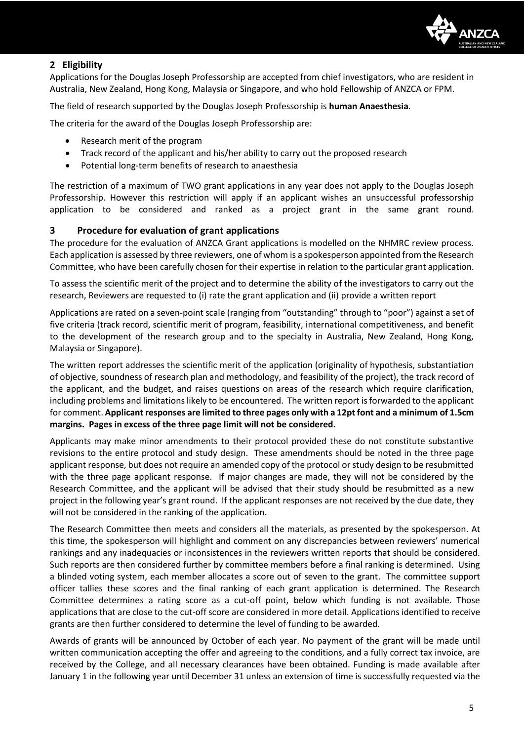

#### **2 Eligibility**

Applications for the Douglas Joseph Professorship are accepted from chief investigators, who are resident in Australia, New Zealand, Hong Kong, Malaysia or Singapore, and who hold Fellowship of ANZCA or FPM.

The field of research supported by the Douglas Joseph Professorship is **human Anaesthesia**.

The criteria for the award of the Douglas Joseph Professorship are:

- Research merit of the program
- Track record of the applicant and his/her ability to carry out the proposed research
- Potential long-term benefits of research to anaesthesia

The restriction of a maximum of TWO grant applications in any year does not apply to the Douglas Joseph Professorship. However this restriction will apply if an applicant wishes an unsuccessful professorship application to be considered and ranked as a project grant in the same grant round.

#### **3 Procedure for evaluation of grant applications**

The procedure for the evaluation of ANZCA Grant applications is modelled on the NHMRC review process. Each application is assessed by three reviewers, one of whom is a spokesperson appointed from the Research Committee, who have been carefully chosen for their expertise in relation to the particular grant application.

To assess the scientific merit of the project and to determine the ability of the investigators to carry out the research, Reviewers are requested to (i) rate the grant application and (ii) provide a written report

Applications are rated on a seven-point scale (ranging from "outstanding" through to "poor") against a set of five criteria (track record, scientific merit of program, feasibility, international competitiveness, and benefit to the development of the research group and to the specialty in Australia, New Zealand, Hong Kong, Malaysia or Singapore).

The written report addresses the scientific merit of the application (originality of hypothesis, substantiation of objective, soundness of research plan and methodology, and feasibility of the project), the track record of the applicant, and the budget, and raises questions on areas of the research which require clarification, including problems and limitations likely to be encountered. The written report is forwarded to the applicant for comment. **Applicant responses are limited to three pages only with a 12pt font and a minimum of 1.5cm margins. Pages in excess of the three page limit will not be considered.**

Applicants may make minor amendments to their protocol provided these do not constitute substantive revisions to the entire protocol and study design. These amendments should be noted in the three page applicant response, but does not require an amended copy of the protocol or study design to be resubmitted with the three page applicant response. If major changes are made, they will not be considered by the Research Committee, and the applicant will be advised that their study should be resubmitted as a new project in the following year's grant round. If the applicant responses are not received by the due date, they will not be considered in the ranking of the application.

The Research Committee then meets and considers all the materials, as presented by the spokesperson. At this time, the spokesperson will highlight and comment on any discrepancies between reviewers' numerical rankings and any inadequacies or inconsistences in the reviewers written reports that should be considered. Such reports are then considered further by committee members before a final ranking is determined. Using a blinded voting system, each member allocates a score out of seven to the grant. The committee support officer tallies these scores and the final ranking of each grant application is determined. The Research Committee determines a rating score as a cut-off point, below which funding is not available. Those applications that are close to the cut-off score are considered in more detail. Applications identified to receive grants are then further considered to determine the level of funding to be awarded.

Awards of grants will be announced by October of each year. No payment of the grant will be made until written communication accepting the offer and agreeing to the conditions, and a fully correct tax invoice, are received by the College, and all necessary clearances have been obtained. Funding is made available after January 1 in the following year until December 31 unless an extension of time is successfully requested via the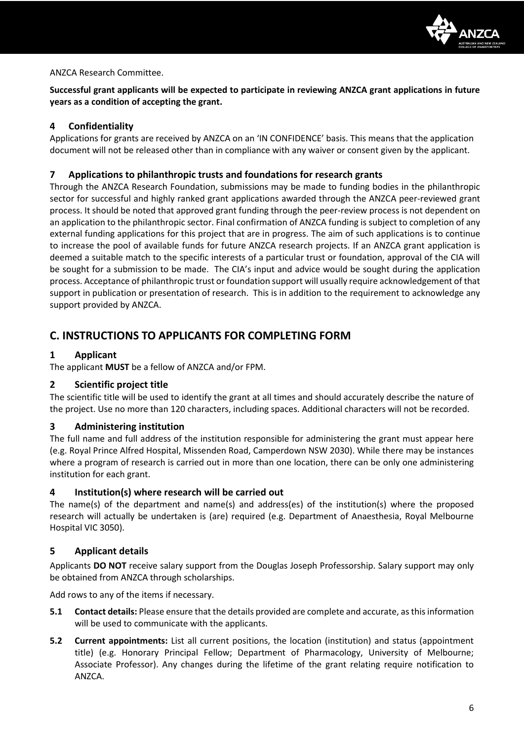

#### ANZCA Research Committee.

**Successful grant applicants will be expected to participate in reviewing ANZCA grant applications in future years as a condition of accepting the grant.**

#### **4 Confidentiality**

Applications for grants are received by ANZCA on an 'IN CONFIDENCE' basis. This means that the application document will not be released other than in compliance with any waiver or consent given by the applicant.

#### **7 Applications to philanthropic trusts and foundations for research grants**

Through the ANZCA Research Foundation, submissions may be made to funding bodies in the philanthropic sector for successful and highly ranked grant applications awarded through the ANZCA peer-reviewed grant process. It should be noted that approved grant funding through the peer-review process is not dependent on an application to the philanthropic sector. Final confirmation of ANZCA funding is subject to completion of any external funding applications for this project that are in progress. The aim of such applications is to continue to increase the pool of available funds for future ANZCA research projects. If an ANZCA grant application is deemed a suitable match to the specific interests of a particular trust or foundation, approval of the CIA will be sought for a submission to be made. The CIA's input and advice would be sought during the application process. Acceptance of philanthropic trust or foundation support will usually require acknowledgement of that support in publication or presentation of research. This is in addition to the requirement to acknowledge any support provided by ANZCA.

#### **C. INSTRUCTIONS TO APPLICANTS FOR COMPLETING FORM**

#### **1 Applicant**

The applicant **MUST** be a fellow of ANZCA and/or FPM.

#### **2 Scientific project title**

The scientific title will be used to identify the grant at all times and should accurately describe the nature of the project. Use no more than 120 characters, including spaces. Additional characters will not be recorded.

#### **3 Administering institution**

The full name and full address of the institution responsible for administering the grant must appear here (e.g. Royal Prince Alfred Hospital, Missenden Road, Camperdown NSW 2030). While there may be instances where a program of research is carried out in more than one location, there can be only one administering institution for each grant.

#### **4 Institution(s) where research will be carried out**

The name(s) of the department and name(s) and address(es) of the institution(s) where the proposed research will actually be undertaken is (are) required (e.g. Department of Anaesthesia, Royal Melbourne Hospital VIC 3050).

#### **5 Applicant details**

Applicants **DO NOT** receive salary support from the Douglas Joseph Professorship. Salary support may only be obtained from ANZCA through scholarships.

Add rows to any of the items if necessary.

- **5.1 Contact details:** Please ensure that the details provided are complete and accurate, as this information will be used to communicate with the applicants.
- **5.2 Current appointments:** List all current positions, the location (institution) and status (appointment title) (e.g. Honorary Principal Fellow; Department of Pharmacology, University of Melbourne; Associate Professor). Any changes during the lifetime of the grant relating require notification to ANZCA.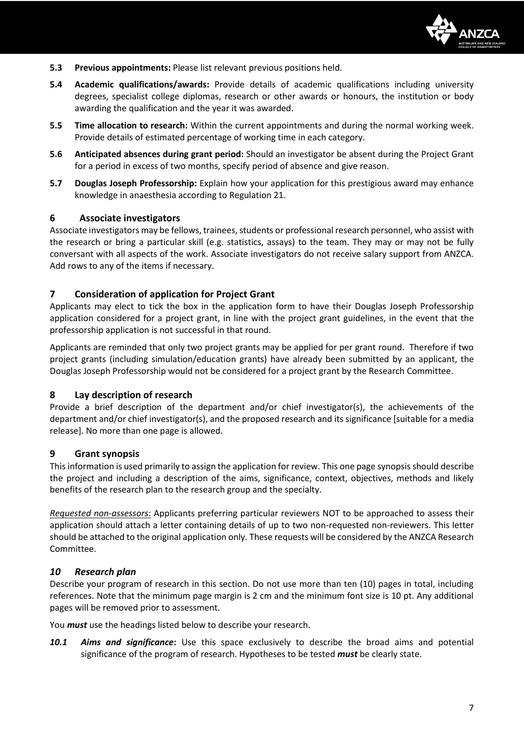

- **5.3 Previous appointments:** Please list relevant previous positions held.
- **5.4 Academic qualifications/awards:** Provide details of academic qualifications including university degrees, specialist college diplomas, research or other awards or honours, the institution or body awarding the qualification and the year it was awarded.
- **5.5 Time allocation to research:** Within the current appointments and during the normal working week. Provide details of estimated percentage of working time in each category.
- **5.6 Anticipated absences during grant period:** Should an investigator be absent during the Project Grant for a period in excess of two months, specify period of absence and give reason.
- **5.7 Douglas Joseph Professorship:** Explain how your application for this prestigious award may enhance knowledge in anaesthesia according to Regulation 21.

#### **6 Associate investigators**

Associate investigators may be fellows, trainees, students or professional research personnel, who assist with the research or bring a particular skill (e.g. statistics, assays) to the team. They may or may not be fully conversant with all aspects of the work. Associate investigators do not receive salary support from ANZCA. Add rows to any of the items if necessary.

#### **7 Consideration of application for Project Grant**

Applicants may elect to tick the box in the application form to have their Douglas Joseph Professorship application considered for a project grant, in line with the project grant guidelines, in the event that the professorship application is not successful in that round.

Applicants are reminded that only two project grants may be applied for per grant round. Therefore if two project grants (including simulation/education grants) have already been submitted by an applicant, the Douglas Joseph Professorship would not be considered for a project grant by the Research Committee.

#### **8 Lay description of research**

Provide a brief description of the department and/or chief investigator(s), the achievements of the department and/or chief investigator(s), and the proposed research and its significance [suitable for a media release]. No more than one page is allowed.

#### **9 Grant synopsis**

This information is used primarily to assign the application for review. This one page synopsis should describe the project and including a description of the aims, significance, context, objectives, methods and likely benefits of the research plan to the research group and the specialty.

*Requested non-assessors*: Applicants preferring particular reviewers NOT to be approached to assess their application should attach a letter containing details of up to two non-requested non-reviewers. This letter should be attached to the original application only. These requests will be considered by the ANZCA Research Committee.

#### *10 Research plan*

Describe your program of research in this section. Do not use more than ten (10) pages in total, including references. Note that the minimum page margin is 2 cm and the minimum font size is 10 pt. Any additional pages will be removed prior to assessment.

You *must* use the headings listed below to describe your research.

*10.1 Aims and significance***:** Use this space exclusively to describe the broad aims and potential significance of the program of research. Hypotheses to be tested *must* be clearly state.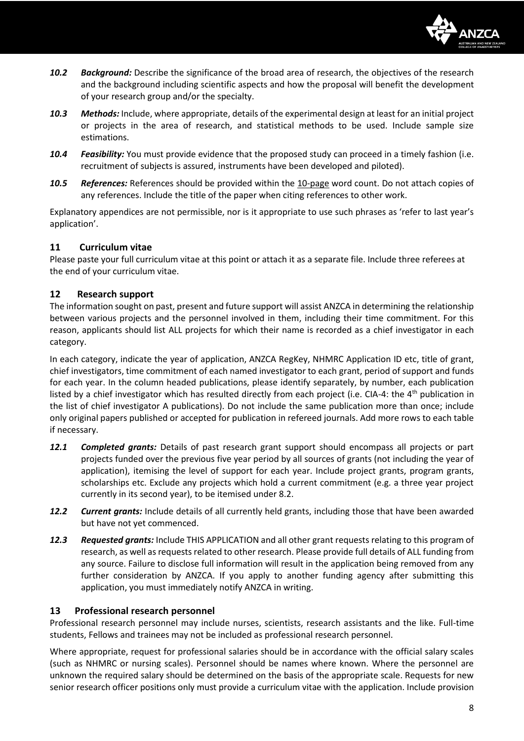

- *10.2 Background:* Describe the significance of the broad area of research, the objectives of the research and the background including scientific aspects and how the proposal will benefit the development of your research group and/or the specialty.
- *10.3 Methods:* Include, where appropriate, details of the experimental design at least for an initial project or projects in the area of research, and statistical methods to be used. Include sample size estimations.
- *10.4 Feasibility:* You must provide evidence that the proposed study can proceed in a timely fashion (i.e. recruitment of subjects is assured, instruments have been developed and piloted).
- *10.5 References:* References should be provided within the 10-page word count. Do not attach copies of any references. Include the title of the paper when citing references to other work.

Explanatory appendices are not permissible, nor is it appropriate to use such phrases as 'refer to last year's application'.

#### **11 Curriculum vitae**

Please paste your full curriculum vitae at this point or attach it as a separate file. Include three referees at the end of your curriculum vitae.

#### **12 Research support**

The information sought on past, present and future support will assist ANZCA in determining the relationship between various projects and the personnel involved in them, including their time commitment. For this reason, applicants should list ALL projects for which their name is recorded as a chief investigator in each category.

In each category, indicate the year of application, ANZCA RegKey, NHMRC Application ID etc, title of grant, chief investigators, time commitment of each named investigator to each grant, period of support and funds for each year. In the column headed publications, please identify separately, by number, each publication listed by a chief investigator which has resulted directly from each project (i.e. CIA-4: the 4<sup>th</sup> publication in the list of chief investigator A publications). Do not include the same publication more than once; include only original papers published or accepted for publication in refereed journals. Add more rows to each table if necessary.

- *12.1 Completed grants:* Details of past research grant support should encompass all projects or part projects funded over the previous five year period by all sources of grants (not including the year of application), itemising the level of support for each year. Include project grants, program grants, scholarships etc. Exclude any projects which hold a current commitment (e.g. a three year project currently in its second year), to be itemised under 8.2.
- *12.2 Current grants:* Include details of all currently held grants, including those that have been awarded but have not yet commenced.
- *12.3 Requested grants:* Include THIS APPLICATION and all other grant requests relating to this program of research, as well as requests related to other research. Please provide full details of ALL funding from any source. Failure to disclose full information will result in the application being removed from any further consideration by ANZCA. If you apply to another funding agency after submitting this application, you must immediately notify ANZCA in writing.

#### **13 Professional research personnel**

Professional research personnel may include nurses, scientists, research assistants and the like. Full-time students, Fellows and trainees may not be included as professional research personnel.

Where appropriate, request for professional salaries should be in accordance with the official salary scales (such as NHMRC or nursing scales). Personnel should be names where known. Where the personnel are unknown the required salary should be determined on the basis of the appropriate scale. Requests for new senior research officer positions only must provide a curriculum vitae with the application. Include provision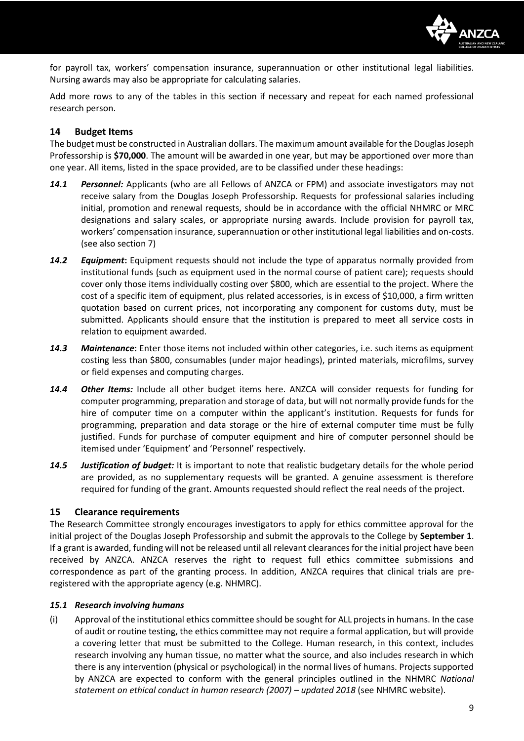

for payroll tax, workers' compensation insurance, superannuation or other institutional legal liabilities. Nursing awards may also be appropriate for calculating salaries.

Add more rows to any of the tables in this section if necessary and repeat for each named professional research person.

#### **14 Budget Items**

The budget must be constructed in Australian dollars. The maximum amount available for the DouglasJoseph Professorship is **\$70,000**. The amount will be awarded in one year, but may be apportioned over more than one year. All items, listed in the space provided, are to be classified under these headings:

- *14.1 Personnel:* Applicants (who are all Fellows of ANZCA or FPM) and associate investigators may not receive salary from the Douglas Joseph Professorship. Requests for professional salaries including initial, promotion and renewal requests, should be in accordance with the official NHMRC or MRC designations and salary scales, or appropriate nursing awards. Include provision for payroll tax, workers' compensation insurance, superannuation or other institutional legal liabilities and on-costs. (see also section 7)
- *14.2 Equipment***:** Equipment requests should not include the type of apparatus normally provided from institutional funds (such as equipment used in the normal course of patient care); requests should cover only those items individually costing over \$800, which are essential to the project. Where the cost of a specific item of equipment, plus related accessories, is in excess of \$10,000, a firm written quotation based on current prices, not incorporating any component for customs duty, must be submitted. Applicants should ensure that the institution is prepared to meet all service costs in relation to equipment awarded.
- *14.3 Maintenance***:** Enter those items not included within other categories, i.e. such items as equipment costing less than \$800, consumables (under major headings), printed materials, microfilms, survey or field expenses and computing charges.
- *14.4 Other Items:* Include all other budget items here. ANZCA will consider requests for funding for computer programming, preparation and storage of data, but will not normally provide funds for the hire of computer time on a computer within the applicant's institution. Requests for funds for programming, preparation and data storage or the hire of external computer time must be fully justified. Funds for purchase of computer equipment and hire of computer personnel should be itemised under 'Equipment' and 'Personnel' respectively.
- *14.5 Justification of budget:* It is important to note that realistic budgetary details for the whole period are provided, as no supplementary requests will be granted. A genuine assessment is therefore required for funding of the grant. Amounts requested should reflect the real needs of the project.

#### **15 Clearance requirements**

The Research Committee strongly encourages investigators to apply for ethics committee approval for the initial project of the Douglas Joseph Professorship and submit the approvals to the College by **September 1**. If a grant is awarded, funding will not be released until all relevant clearances for the initial project have been received by ANZCA. ANZCA reserves the right to request full ethics committee submissions and correspondence as part of the granting process. In addition, ANZCA requires that clinical trials are preregistered with the appropriate agency (e.g. NHMRC).

#### *15.1 Research involving humans*

(i) Approval of the institutional ethics committee should be sought for ALL projects in humans. In the case of audit or routine testing, the ethics committee may not require a formal application, but will provide a covering letter that must be submitted to the College. Human research, in this context, includes research involving any human tissue, no matter what the source, and also includes research in which there is any intervention (physical or psychological) in the normal lives of humans. Projects supported by ANZCA are expected to conform with the general principles outlined in the NHMRC *National statement on ethical conduct in human research (2007) – updated 2018* (see NHMRC website).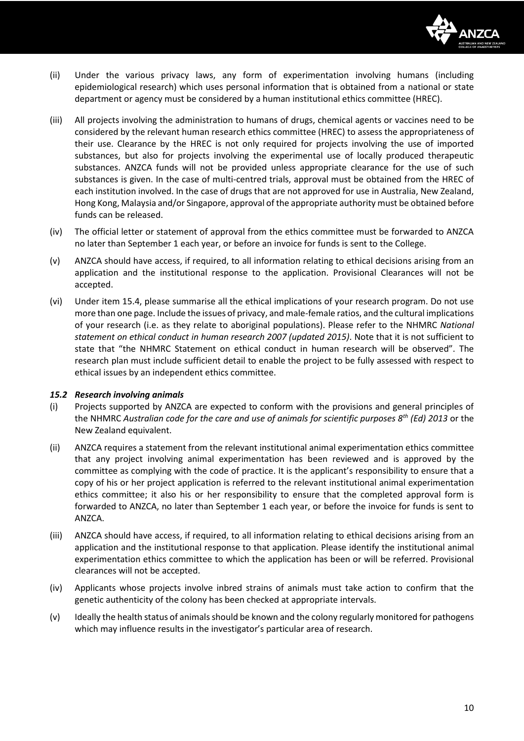

- (ii) Under the various privacy laws, any form of experimentation involving humans (including epidemiological research) which uses personal information that is obtained from a national or state department or agency must be considered by a human institutional ethics committee (HREC).
- (iii) All projects involving the administration to humans of drugs, chemical agents or vaccines need to be considered by the relevant human research ethics committee (HREC) to assess the appropriateness of their use. Clearance by the HREC is not only required for projects involving the use of imported substances, but also for projects involving the experimental use of locally produced therapeutic substances. ANZCA funds will not be provided unless appropriate clearance for the use of such substances is given. In the case of multi-centred trials, approval must be obtained from the HREC of each institution involved. In the case of drugs that are not approved for use in Australia, New Zealand, Hong Kong, Malaysia and/or Singapore, approval of the appropriate authority must be obtained before funds can be released.
- (iv) The official letter or statement of approval from the ethics committee must be forwarded to ANZCA no later than September 1 each year, or before an invoice for funds is sent to the College.
- (v) ANZCA should have access, if required, to all information relating to ethical decisions arising from an application and the institutional response to the application. Provisional Clearances will not be accepted.
- (vi) Under item 15.4, please summarise all the ethical implications of your research program. Do not use more than one page. Include the issues of privacy, and male-female ratios, and the cultural implications of your research (i.e. as they relate to aboriginal populations). Please refer to the NHMRC *National statement on ethical conduct in human research 2007 (updated 2015)*. Note that it is not sufficient to state that "the NHMRC Statement on ethical conduct in human research will be observed". The research plan must include sufficient detail to enable the project to be fully assessed with respect to ethical issues by an independent ethics committee.

#### *15.2 Research involving animals*

- (i) Projects supported by ANZCA are expected to conform with the provisions and general principles of the NHMRC *Australian code for the care and use of animals for scientific purposes 8th (Ed) 2013* or the New Zealand equivalent.
- (ii) ANZCA requires a statement from the relevant institutional animal experimentation ethics committee that any project involving animal experimentation has been reviewed and is approved by the committee as complying with the code of practice. It is the applicant's responsibility to ensure that a copy of his or her project application is referred to the relevant institutional animal experimentation ethics committee; it also his or her responsibility to ensure that the completed approval form is forwarded to ANZCA, no later than September 1 each year, or before the invoice for funds is sent to ANZCA.
- (iii) ANZCA should have access, if required, to all information relating to ethical decisions arising from an application and the institutional response to that application. Please identify the institutional animal experimentation ethics committee to which the application has been or will be referred. Provisional clearances will not be accepted.
- (iv) Applicants whose projects involve inbred strains of animals must take action to confirm that the genetic authenticity of the colony has been checked at appropriate intervals.
- (v) Ideally the health status of animals should be known and the colony regularly monitored for pathogens which may influence results in the investigator's particular area of research.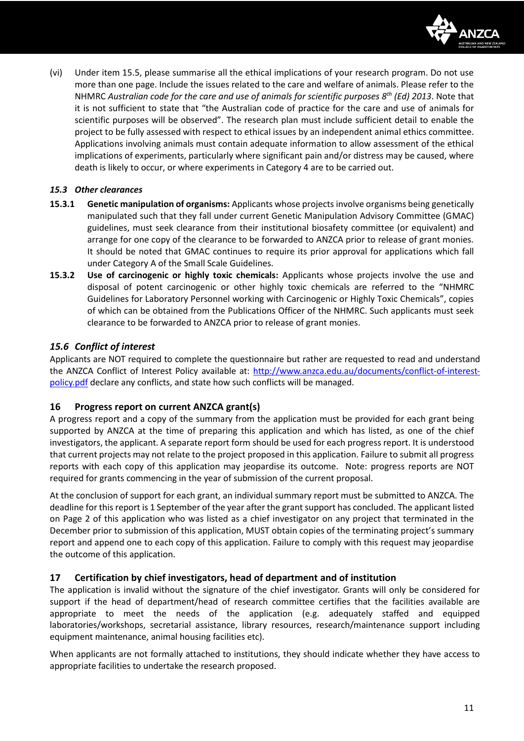

(vi) Under item 15.5, please summarise all the ethical implications of your research program. Do not use more than one page. Include the issues related to the care and welfare of animals. Please refer to the NHMRC *Australian code for the care and use of animals for scientific purposes 8th (Ed) 2013*. Note that it is not sufficient to state that "the Australian code of practice for the care and use of animals for scientific purposes will be observed". The research plan must include sufficient detail to enable the project to be fully assessed with respect to ethical issues by an independent animal ethics committee. Applications involving animals must contain adequate information to allow assessment of the ethical implications of experiments, particularly where significant pain and/or distress may be caused, where death is likely to occur, or where experiments in Category 4 are to be carried out.

#### *15.3 Other clearances*

- **15.3.1 Genetic manipulation of organisms:** Applicants whose projects involve organisms being genetically manipulated such that they fall under current Genetic Manipulation Advisory Committee (GMAC) guidelines, must seek clearance from their institutional biosafety committee (or equivalent) and arrange for one copy of the clearance to be forwarded to ANZCA prior to release of grant monies. It should be noted that GMAC continues to require its prior approval for applications which fall under Category A of the Small Scale Guidelines.
- **15.3.2 Use of carcinogenic or highly toxic chemicals:** Applicants whose projects involve the use and disposal of potent carcinogenic or other highly toxic chemicals are referred to the "NHMRC Guidelines for Laboratory Personnel working with Carcinogenic or Highly Toxic Chemicals", copies of which can be obtained from the Publications Officer of the NHMRC. Such applicants must seek clearance to be forwarded to ANZCA prior to release of grant monies.

#### *15.6 Conflict of interest*

Applicants are NOT required to complete the questionnaire but rather are requested to read and understand the ANZCA Conflict of Interest Policy available at: [http://www.anzca.edu.au/documents/conflict-of-interest](http://www.anzca.edu.au/documents/conflict-of-interest-policy.pdf)[policy.pdf](http://www.anzca.edu.au/documents/conflict-of-interest-policy.pdf) declare any conflicts, and state how such conflicts will be managed.

#### **16 Progress report on current ANZCA grant(s)**

A progress report and a copy of the summary from the application must be provided for each grant being supported by ANZCA at the time of preparing this application and which has listed, as one of the chief investigators, the applicant. A separate report form should be used for each progress report. It is understood that current projects may not relate to the project proposed in this application. Failure to submit all progress reports with each copy of this application may jeopardise its outcome. Note: progress reports are NOT required for grants commencing in the year of submission of the current proposal.

At the conclusion of support for each grant, an individual summary report must be submitted to ANZCA. The deadline for this report is 1 September of the year after the grant support has concluded. The applicant listed on Page 2 of this application who was listed as a chief investigator on any project that terminated in the December prior to submission of this application, MUST obtain copies of the terminating project's summary report and append one to each copy of this application. Failure to comply with this request may jeopardise the outcome of this application.

#### **17 Certification by chief investigators, head of department and of institution**

The application is invalid without the signature of the chief investigator. Grants will only be considered for support if the head of department/head of research committee certifies that the facilities available are appropriate to meet the needs of the application (e.g. adequately staffed and equipped laboratories/workshops, secretarial assistance, library resources, research/maintenance support including equipment maintenance, animal housing facilities etc).

When applicants are not formally attached to institutions, they should indicate whether they have access to appropriate facilities to undertake the research proposed.